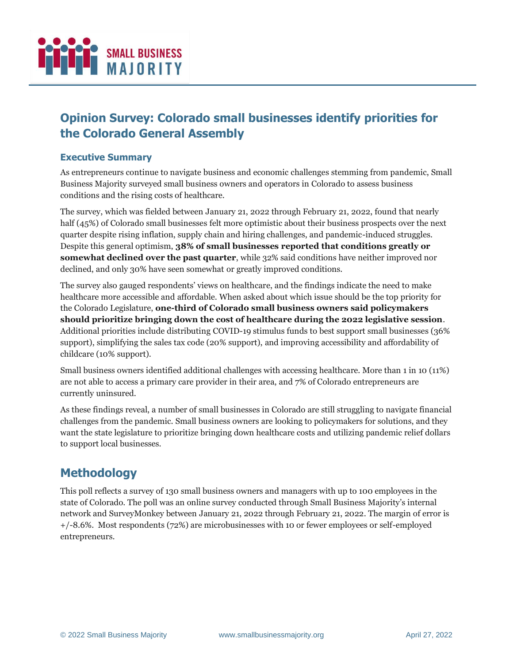

# **Opinion Survey: Colorado small businesses identify priorities for the Colorado General Assembly**

#### **Executive Summary**

As entrepreneurs continue to navigate business and economic challenges stemming from pandemic, Small Business Majority surveyed small business owners and operators in Colorado to assess business conditions and the rising costs of healthcare.

The survey, which was fielded between January 21, 2022 through February 21, 2022, found that nearly half (45%) of Colorado small businesses felt more optimistic about their business prospects over the next quarter despite rising inflation, supply chain and hiring challenges, and pandemic-induced struggles. Despite this general optimism, **38% of small businesses reported that conditions greatly or**  somewhat declined over the past quarter, while 32% said conditions have neither improved nor declined, and only 30% have seen somewhat or greatly improved conditions.

The survey also gauged respondents' views on healthcare, and the findings indicate the need to make healthcare more accessible and affordable. When asked about which issue should be the top priority for the Colorado Legislature, **one-third of Colorado small business owners said policymakers should prioritize bringing down the cost of healthcare during the 2022 legislative session**. Additional priorities include distributing COVID-19 stimulus funds to best support small businesses (36% support), simplifying the sales tax code (20% support), and improving accessibility and affordability of childcare (10% support).

Small business owners identified additional challenges with accessing healthcare. More than 1 in 10 (11%) are not able to access a primary care provider in their area, and 7% of Colorado entrepreneurs are currently uninsured.

As these findings reveal, a number of small businesses in Colorado are still struggling to navigate financial challenges from the pandemic. Small business owners are looking to policymakers for solutions, and they want the state legislature to prioritize bringing down healthcare costs and utilizing pandemic relief dollars to support local businesses.

## **Methodology**

This poll reflects a survey of 130 small business owners and managers with up to 100 employees in the state of Colorado. The poll was an online survey conducted through Small Business Majority's internal network and SurveyMonkey between January 21, 2022 through February 21, 2022. The margin of error is +/-8.6%. Most respondents (72%) are microbusinesses with 10 or fewer employees or self-employed entrepreneurs.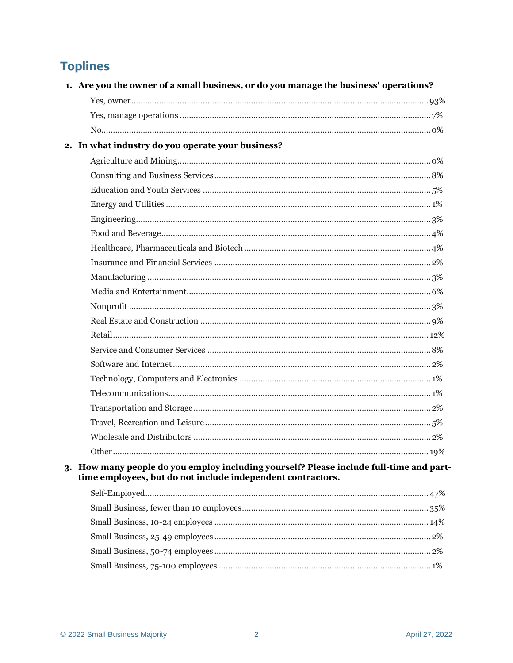# **Toplines**

| 1. Are you the owner of a small business, or do you manage the business' operations?                                                                   |     |  |  |  |
|--------------------------------------------------------------------------------------------------------------------------------------------------------|-----|--|--|--|
|                                                                                                                                                        |     |  |  |  |
|                                                                                                                                                        |     |  |  |  |
|                                                                                                                                                        |     |  |  |  |
| 2. In what industry do you operate your business?                                                                                                      |     |  |  |  |
|                                                                                                                                                        |     |  |  |  |
|                                                                                                                                                        |     |  |  |  |
|                                                                                                                                                        |     |  |  |  |
|                                                                                                                                                        |     |  |  |  |
|                                                                                                                                                        |     |  |  |  |
|                                                                                                                                                        |     |  |  |  |
|                                                                                                                                                        |     |  |  |  |
|                                                                                                                                                        |     |  |  |  |
|                                                                                                                                                        |     |  |  |  |
|                                                                                                                                                        |     |  |  |  |
|                                                                                                                                                        |     |  |  |  |
|                                                                                                                                                        |     |  |  |  |
|                                                                                                                                                        |     |  |  |  |
|                                                                                                                                                        |     |  |  |  |
|                                                                                                                                                        |     |  |  |  |
|                                                                                                                                                        |     |  |  |  |
|                                                                                                                                                        |     |  |  |  |
|                                                                                                                                                        |     |  |  |  |
|                                                                                                                                                        |     |  |  |  |
|                                                                                                                                                        |     |  |  |  |
| Other.                                                                                                                                                 | 19% |  |  |  |
| 3. How many people do you employ including yourself? Please include full-time and part-<br>time employees, but do not include independent contractors. |     |  |  |  |
|                                                                                                                                                        |     |  |  |  |
|                                                                                                                                                        |     |  |  |  |
|                                                                                                                                                        |     |  |  |  |
|                                                                                                                                                        |     |  |  |  |
|                                                                                                                                                        |     |  |  |  |
|                                                                                                                                                        |     |  |  |  |
|                                                                                                                                                        |     |  |  |  |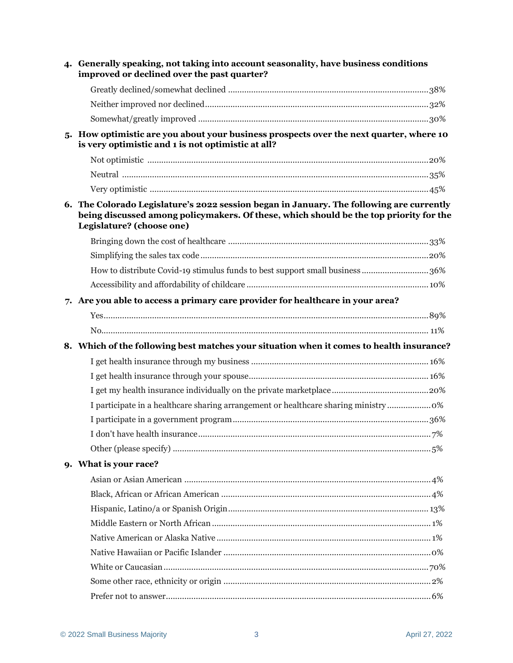| 4. Generally speaking, not taking into account seasonality, have business conditions<br>improved or declined over the past quarter?                                                                             |  |
|-----------------------------------------------------------------------------------------------------------------------------------------------------------------------------------------------------------------|--|
|                                                                                                                                                                                                                 |  |
|                                                                                                                                                                                                                 |  |
|                                                                                                                                                                                                                 |  |
| 5. How optimistic are you about your business prospects over the next quarter, where 10<br>is very optimistic and 1 is not optimistic at all?                                                                   |  |
|                                                                                                                                                                                                                 |  |
|                                                                                                                                                                                                                 |  |
|                                                                                                                                                                                                                 |  |
| 6. The Colorado Legislature's 2022 session began in January. The following are currently<br>being discussed among policymakers. Of these, which should be the top priority for the<br>Legislature? (choose one) |  |
|                                                                                                                                                                                                                 |  |
|                                                                                                                                                                                                                 |  |
| How to distribute Covid-19 stimulus funds to best support small business 36%                                                                                                                                    |  |
|                                                                                                                                                                                                                 |  |
| 7. Are you able to access a primary care provider for healthcare in your area?                                                                                                                                  |  |
|                                                                                                                                                                                                                 |  |
|                                                                                                                                                                                                                 |  |
| 8. Which of the following best matches your situation when it comes to health insurance?                                                                                                                        |  |
|                                                                                                                                                                                                                 |  |
|                                                                                                                                                                                                                 |  |
|                                                                                                                                                                                                                 |  |
| I participate in a healthcare sharing arrangement or healthcare sharing ministry 0%                                                                                                                             |  |
|                                                                                                                                                                                                                 |  |
|                                                                                                                                                                                                                 |  |
|                                                                                                                                                                                                                 |  |
| 9. What is your race?                                                                                                                                                                                           |  |
|                                                                                                                                                                                                                 |  |
|                                                                                                                                                                                                                 |  |
|                                                                                                                                                                                                                 |  |
|                                                                                                                                                                                                                 |  |
|                                                                                                                                                                                                                 |  |
|                                                                                                                                                                                                                 |  |
|                                                                                                                                                                                                                 |  |
|                                                                                                                                                                                                                 |  |
|                                                                                                                                                                                                                 |  |